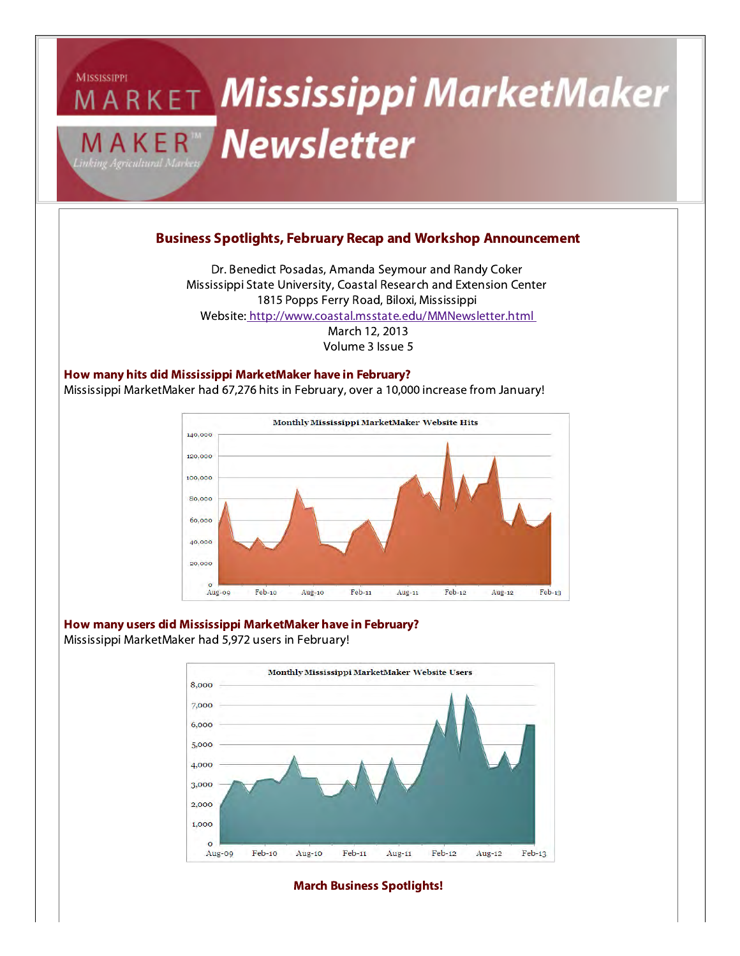

### Business Spotlights, February Recap and Workshop Announcement

Dr. Benedict Posadas, Amanda Seymour and Randy Coker Mississippi State University, Coastal Research and Extension Center 1815 Popps Ferry Road, Biloxi, Mississippi Website[: http://www.coastal.msstate.edu/MMNewsletter.html](http://www.coastal.msstate.edu/MMNewsletter.html)March 12, 2013Volume 3 Issue 5

How many hits did Mississippi MarketMaker have in February?Mississippi MarketMaker had 67,276 hits in February, over a 10,000 increase from January!



#### How many users did Mississippi MarketMaker have in February?Mississippi MarketMaker had 5,972 users in February!



#### March Business Spotlights!